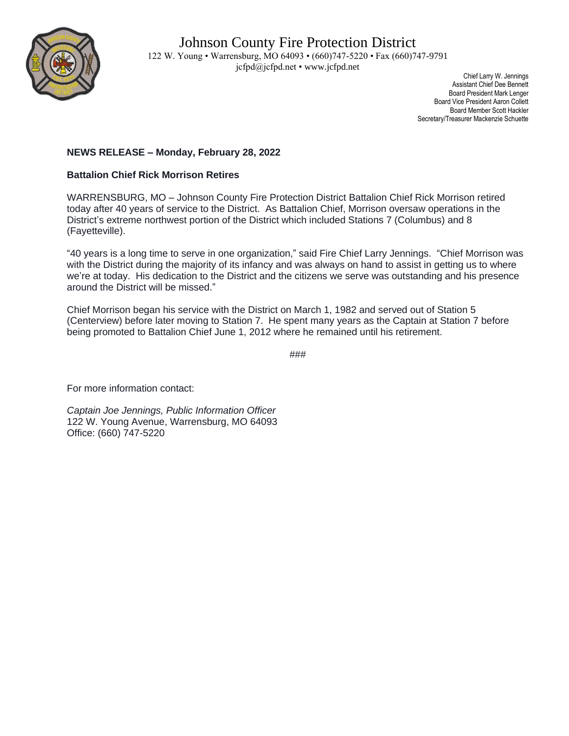

 Chief Larry W. Jennings Assistant Chief Dee Bennett Board President Mark Lenger Board Vice President Aaron Collett Board Member Scott Hackler Secretary/Treasurer Mackenzie Schuette

## **NEWS RELEASE – Monday, February 28, 2022**

## **Battalion Chief Rick Morrison Retires**

WARRENSBURG, MO – Johnson County Fire Protection District Battalion Chief Rick Morrison retired today after 40 years of service to the District. As Battalion Chief, Morrison oversaw operations in the District's extreme northwest portion of the District which included Stations 7 (Columbus) and 8 (Fayetteville).

"40 years is a long time to serve in one organization," said Fire Chief Larry Jennings. "Chief Morrison was with the District during the majority of its infancy and was always on hand to assist in getting us to where we're at today. His dedication to the District and the citizens we serve was outstanding and his presence around the District will be missed."

Chief Morrison began his service with the District on March 1, 1982 and served out of Station 5 (Centerview) before later moving to Station 7. He spent many years as the Captain at Station 7 before being promoted to Battalion Chief June 1, 2012 where he remained until his retirement.

###

For more information contact:

*Captain Joe Jennings, Public Information Officer* 122 W. Young Avenue, Warrensburg, MO 64093 Office: (660) 747-5220